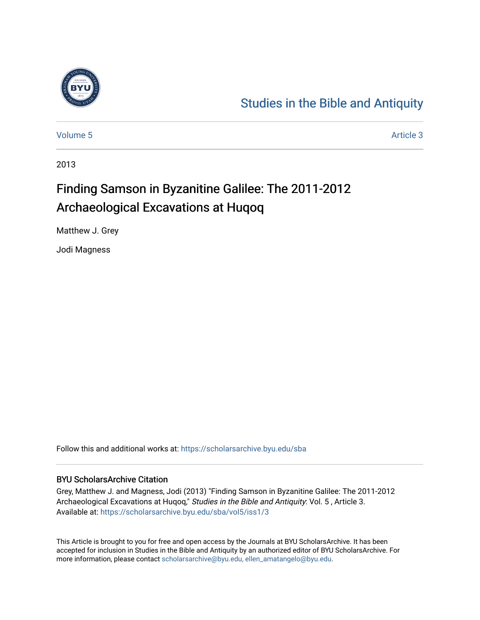

# [Studies in the Bible and Antiquity](https://scholarsarchive.byu.edu/sba)

[Volume 5](https://scholarsarchive.byu.edu/sba/vol5) Article 3

2013

# Finding Samson in Byzanitine Galilee: The 2011-2012 Archaeological Excavations at Huqoq

Matthew J. Grey

Jodi Magness

Follow this and additional works at: [https://scholarsarchive.byu.edu/sba](https://scholarsarchive.byu.edu/sba?utm_source=scholarsarchive.byu.edu%2Fsba%2Fvol5%2Fiss1%2F3&utm_medium=PDF&utm_campaign=PDFCoverPages)

#### BYU ScholarsArchive Citation

Grey, Matthew J. and Magness, Jodi (2013) "Finding Samson in Byzanitine Galilee: The 2011-2012 Archaeological Excavations at Huqoq," Studies in the Bible and Antiquity: Vol. 5, Article 3. Available at: [https://scholarsarchive.byu.edu/sba/vol5/iss1/3](https://scholarsarchive.byu.edu/sba/vol5/iss1/3?utm_source=scholarsarchive.byu.edu%2Fsba%2Fvol5%2Fiss1%2F3&utm_medium=PDF&utm_campaign=PDFCoverPages)

This Article is brought to you for free and open access by the Journals at BYU ScholarsArchive. It has been accepted for inclusion in Studies in the Bible and Antiquity by an authorized editor of BYU ScholarsArchive. For more information, please contact [scholarsarchive@byu.edu, ellen\\_amatangelo@byu.edu.](mailto:scholarsarchive@byu.edu,%20ellen_amatangelo@byu.edu)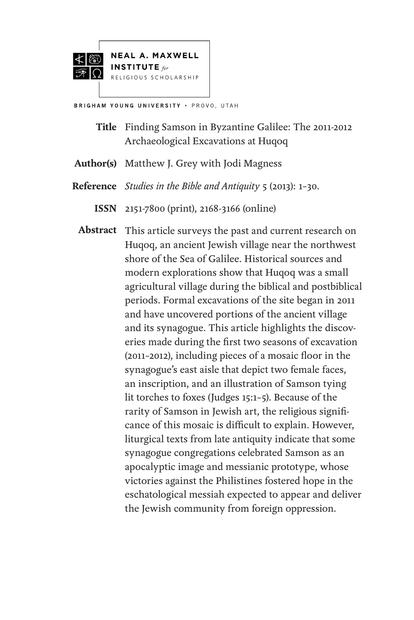



BRIGHAM YOUNG UNIVERSITY . PROVO, UTAH

Finding Samson in Byzantine Galilee: The 2011-2012 **Title** Archaeological Excavations at Huqoq

Matthew J. Grey with Jodi Magness **Author(s)**

- *Studies in the Bible and Antiquity* 5 (2013): 1–30. **Reference**
	- 2151-7800 (print), 2168-3166 (online) **ISSN**

Abstract This article surveys the past and current research on Huqoq, an ancient Jewish village near the northwest shore of the Sea of Galilee. Historical sources and modern explorations show that Huqoq was a small agricultural village during the biblical and postbiblical periods. Formal excavations of the site began in 2011 and have uncovered portions of the ancient village and its synagogue. This article highlights the discoveries made during the first two seasons of excavation (2011–2012), including pieces of a mosaic floor in the synagogue's east aisle that depict two female faces, an inscription, and an illustration of Samson tying lit torches to foxes (Judges 15:1–5). Because of the rarity of Samson in Jewish art, the religious significance of this mosaic is difficult to explain. However, liturgical texts from late antiquity indicate that some synagogue congregations celebrated Samson as an apocalyptic image and messianic prototype, whose victories against the Philistines fostered hope in the eschatological messiah expected to appear and deliver the Jewish community from foreign oppression.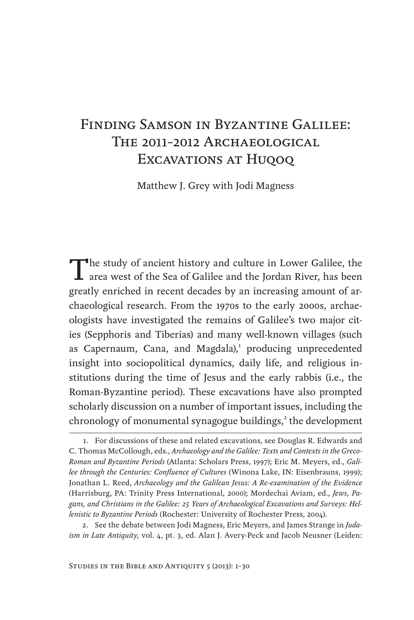## Finding Samson in Byzantine Galilee: The 2011-2012 Archaeological EXCAVATIONS AT HUQOQ

Matthew J. Grey with Jodi Magness

The study of ancient history and culture in Lower Galilee, the area west of the Sea of Galilee and the Jordan River, has been greatly enriched in recent decades by an increasing amount of archaeological research. From the 1970s to the early 2000s, archaeologists have investigated the remains of Galilee's two major cities (Sepphoris and Tiberias) and many well-known villages (such as Capernaum, Cana, and Magdala),<sup>1</sup> producing unprecedented insight into sociopolitical dynamics, daily life, and religious institutions during the time of Jesus and the early rabbis (i.e., the Roman-Byzantine period). These excavations have also prompted scholarly discussion on a number of important issues, including the chronology of monumental synagogue buildings,<sup>2</sup> the development

<sup>1.</sup> For discussions of these and related excavations, see Douglas R. Edwards and C. Thomas McCollough, eds., *Archaeology and the Galilee: Texts and Contexts in the Greco-Roman and Byzantine Periods* (Atlanta: Scholars Press, 1997); Eric M. Meyers, ed., *Galilee through the Centuries: Confluence of Cultures* (Winona Lake, IN: Eisenbrauns, 1999); Jonathan L. Reed, *Archaeology and the Galilean Jesus: A Re-examination of the Evidence* (Harrisburg, PA: Trinity Press International, 2000); Mordechai Aviam, ed., *Jews, Pagans, and Christians in the Galilee: 25 Years of Archaeological Excavations and Surveys: Hellenistic to Byzantine Periods* (Rochester: University of Rochester Press, 2004).

<sup>2.</sup> See the debate between Jodi Magness, Eric Meyers, and James Strange in *Judaism in Late Antiquity*, vol. 4, pt. 3, ed. Alan J. Avery-Peck and Jacob Neusner (Leiden: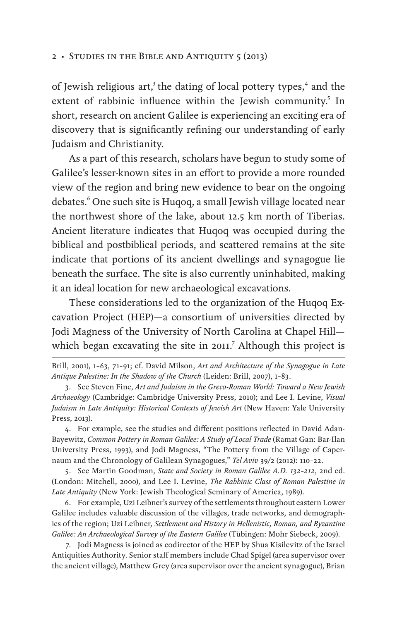of Jewish religious art,<sup>3</sup> the dating of local pottery types,<sup>4</sup> and the extent of rabbinic influence within the Jewish community.<sup>5</sup> In short, research on ancient Galilee is experiencing an exciting era of discovery that is significantly refining our understanding of early Judaism and Christianity.

As a part of this research, scholars have begun to study some of Galilee's lesser-known sites in an effort to provide a more rounded view of the region and bring new evidence to bear on the ongoing debates.<sup>6</sup> One such site is Huqoq, a small Jewish village located near the northwest shore of the lake, about 12.5 km north of Tiberias. Ancient literature indicates that Huqoq was occupied during the biblical and postbiblical periods, and scattered remains at the site indicate that portions of its ancient dwellings and synagogue lie beneath the surface. The site is also currently uninhabited, making it an ideal location for new archaeological excavations.

These considerations led to the organization of the Huqoq Excavation Project (HEP)—a consortium of universities directed by Jodi Magness of the University of North Carolina at Chapel Hill which began excavating the site in 2011.<sup>7</sup> Although this project is

Brill, 2001), 1–63, 71–91; cf. David Milson, *Art and Architecture of the Synagogue in Late Antique Palestine: In the Shadow of the Church* (Leiden: Brill, 2007), 1–83.

4. For example, see the studies and different positions reflected in David Adan-Bayewitz, *Common Pottery in Roman Galilee: A Study of Local Trade* (Ramat Gan: Bar-Ilan University Press, 1993), and Jodi Magness, "The Pottery from the Village of Capernaum and the Chronology of Galilean Synagogues," *Tel Aviv* 39/2 (2012): 110–22.

5. See Martin Goodman, *State and Society in Roman Galilee A.D. 132–212*, 2nd ed. (London: Mitchell, 2000), and Lee I. Levine, *The Rabbinic Class of Roman Palestine in Late Antiquity* (New York: Jewish Theological Seminary of America, 1989).

6. For example, Uzi Leibner's survey of the settlements throughout eastern Lower Galilee includes valuable discussion of the villages, trade networks, and demographics of the region; Uzi Leibner*, Settlement and History in Hellenistic, Roman, and Byzantine Galilee: An Archaeological Survey of the Eastern Galilee* (Tübingen: Mohr Siebeck, 2009).

7. Jodi Magness is joined as codirector of the HEP by Shua Kisilevitz of the Israel Antiquities Authority. Senior staff members include Chad Spigel (area supervisor over the ancient village), Matthew Grey (area supervisor over the ancient synagogue), Brian

<sup>3.</sup> See Steven Fine, *Art and Judaism in the Greco-Roman World: Toward a New Jewish Archaeology* (Cambridge: Cambridge University Press, 2010); and Lee I. Levine, *Visual Judaism in Late Antiquity: Historical Contexts of Jewish Art* (New Haven: Yale University Press, 2013).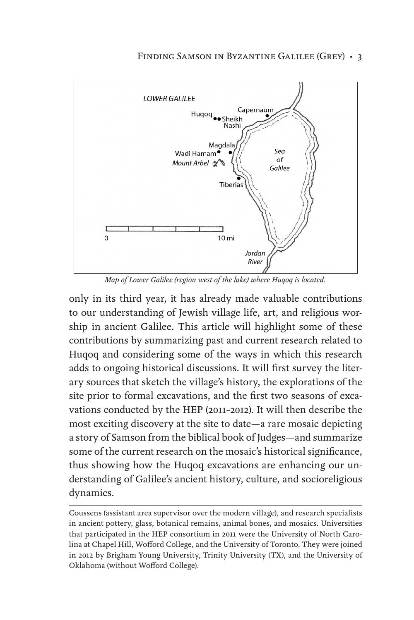

*Map of Lower Galilee (region west of the lake) where Huqoq is located.*

only in its third year, it has already made valuable contributions to our understanding of Jewish village life, art, and religious worship in ancient Galilee. This article will highlight some of these contributions by summarizing past and current research related to Huqoq and considering some of the ways in which this research adds to ongoing historical discussions. It will first survey the literary sources that sketch the village's history, the explorations of the site prior to formal excavations, and the first two seasons of excavations conducted by the HEP (2011–2012). It will then describe the most exciting discovery at the site to date—a rare mosaic depicting a story of Samson from the biblical book of Judges—and summarize some of the current research on the mosaic's historical significance, thus showing how the Huqoq excavations are enhancing our understanding of Galilee's ancient history, culture, and socioreligious dynamics.

Coussens (assistant area supervisor over the modern village), and research specialists in ancient pottery, glass, botanical remains, animal bones, and mosaics. Universities that participated in the HEP consortium in 2011 were the University of North Carolina at Chapel Hill, Wofford College, and the University of Toronto. They were joined in 2012 by Brigham Young University, Trinity University (TX), and the University of Oklahoma (without Wofford College).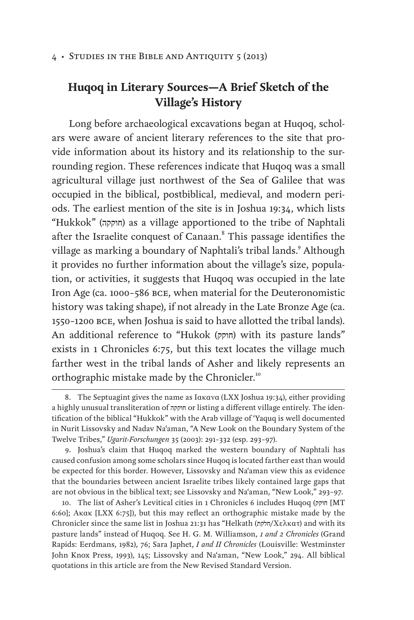## **Huqoq in Literary Sources—A Brief Sketch of the Village's History**

Long before archaeological excavations began at Huqoq, scholars were aware of ancient literary references to the site that provide information about its history and its relationship to the surrounding region. These references indicate that Huqoq was a small agricultural village just northwest of the Sea of Galilee that was occupied in the biblical, postbiblical, medieval, and modern periods. The earliest mention of the site is in Joshua 19:34, which lists "Hukkok" (חוקקה (as a village apportioned to the tribe of Naphtali after the Israelite conquest of Canaan.<sup>8</sup> This passage identifies the village as marking a boundary of Naphtali's tribal lands.<sup>9</sup> Although it provides no further information about the village's size, population, or activities, it suggests that Huqoq was occupied in the late Iron Age (ca. 1000–586 bce, when material for the Deuteronomistic history was taking shape), if not already in the Late Bronze Age (ca. 1550–1200 bce, when Joshua is said to have allotted the tribal lands). An additional reference to "Hukok (חוקק) with its pasture lands" exists in 1 Chronicles 6:75, but this text locates the village much farther west in the tribal lands of Asher and likely represents an orthographic mistake made by the Chronicler.<sup>10</sup>

<sup>8.</sup> The Septuagint gives the name as Ιακανα (LXX Joshua 19:34), either providing a highly unusual transliteration of חוקקה or listing a different village entirely. The identification of the biblical "Hukkok" with the Arab village of 'Yaquq is well documented in Nurit Lissovsky and Nadav Na'aman, "A New Look on the Boundary System of the Twelve Tribes," *Ugarit-Forschungen* 35 (2003): 291–332 (esp. 293–97).

<sup>9.</sup> Joshua's claim that Huqoq marked the western boundary of Naphtali has caused confusion among some scholars since Huqoq is located farther east than would be expected for this border. However, Lissovsky and Na'aman view this as evidence that the boundaries between ancient Israelite tribes likely contained large gaps that are not obvious in the biblical text; see Lissovsky and Na'aman, "New Look," 293–97.

<sup>10.</sup> The list of Asher's Levitical cities in 1 Chronicles 6 includes Huqoq (חוקק] MT 6:60]; Ακακ [LXX 6:75]), but this may reflect an orthographic mistake made by the Chronicler since the same list in Joshua 21:31 has "Helkath (חלקת/Χελκατ) and with its pasture lands" instead of Huqoq. See H. G. M. Williamson, *1 and 2 Chronicles* (Grand Rapids: Eerdmans, 1982), 76; Sara Japhet, *I and II Chronicles* (Louisville: Westminster John Knox Press, 1993), 145; Lissovsky and Na'aman, "New Look," 294. All biblical quotations in this article are from the New Revised Standard Version.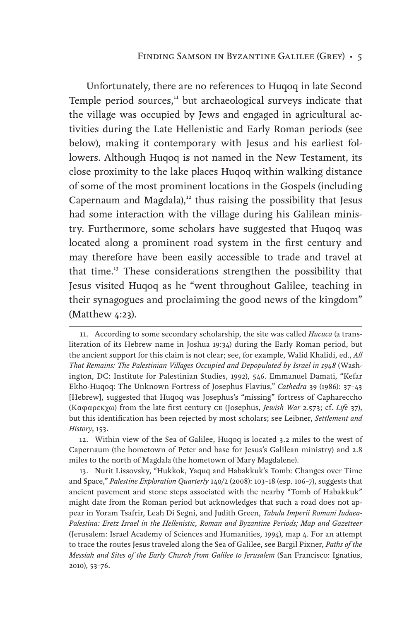Unfortunately, there are no references to Huqoq in late Second Temple period sources,<sup>11</sup> but archaeological surveys indicate that the village was occupied by Jews and engaged in agricultural activities during the Late Hellenistic and Early Roman periods (see below), making it contemporary with Jesus and his earliest followers. Although Huqoq is not named in the New Testament, its close proximity to the lake places Huqoq within walking distance of some of the most prominent locations in the Gospels (including Capernaum and Magdala), $12$  thus raising the possibility that Jesus had some interaction with the village during his Galilean ministry. Furthermore, some scholars have suggested that Huqoq was located along a prominent road system in the first century and may therefore have been easily accessible to trade and travel at that time.<sup>13</sup> These considerations strengthen the possibility that Jesus visited Huqoq as he "went throughout Galilee, teaching in their synagogues and proclaiming the good news of the kingdom" (Matthew 4:23).

13. Nurit Lissovsky, "Hukkok, Yaquq and Habakkuk's Tomb: Changes over Time and Space," *Palestine Exploration Quarterly* 140/2 (2008): 103–18 (esp. 106–7), suggests that ancient pavement and stone steps associated with the nearby "Tomb of Habakkuk" might date from the Roman period but acknowledges that such a road does not appear in Yoram Tsafrir, Leah Di Segni, and Judith Green, *Tabula Imperii Romani Iudaea-Palestina: Eretz Israel in the Hellenistic, Roman and Byzantine Periods; Map and Gazetteer* (Jerusalem: Israel Academy of Sciences and Humanities, 1994), map 4. For an attempt to trace the routes Jesus traveled along the Sea of Galilee, see Bargil Pixner, *Paths of the Messiah and Sites of the Early Church from Galilee to Jerusalem* (San Francisco: Ignatius, 2010), 53–76.

<sup>11.</sup> According to some secondary scholarship, the site was called *Hucuca* (a transliteration of its Hebrew name in Joshua 19:34) during the Early Roman period, but the ancient support for this claim is not clear; see, for example, Walid Khalidi, ed., *All That Remains: The Palestinian Villages Occupied and Depopulated by Israel in 1948* (Washington, DC: Institute for Palestinian Studies, 1992), 546. Emmanuel Damati, "Kefar Ekho-Huqoq: The Unknown Fortress of Josephus Flavius," *Cathedra* 39 (1986): 37–43 [Hebrew], suggested that Huqoq was Josephus's "missing" fortress of Caphareccho (Kαφαρεκχω) from the late first century ce (Josephus, *Jewish War* 2.573; cf. *Life* 37), but this identification has been rejected by most scholars; see Leibner, *Settlement and History*, 153.

<sup>12.</sup> Within view of the Sea of Galilee, Huqoq is located 3.2 miles to the west of Capernaum (the hometown of Peter and base for Jesus's Galilean ministry) and 2.8 miles to the north of Magdala (the hometown of Mary Magdalene).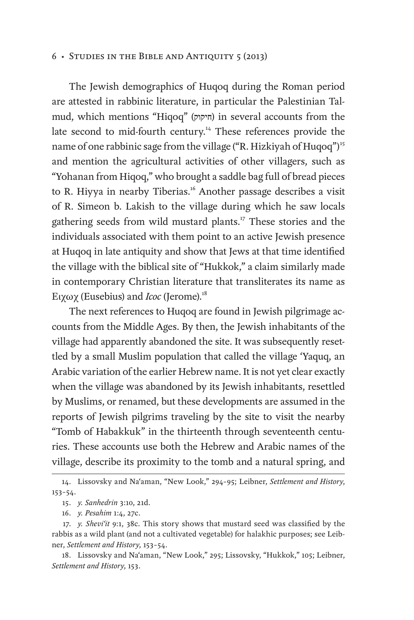The Jewish demographics of Huqoq during the Roman period are attested in rabbinic literature, in particular the Palestinian Talmud, which mentions "Hiqoq" (חיקוק) in several accounts from the late second to mid-fourth century.<sup>14</sup> These references provide the name of one rabbinic sage from the village ("R. Hizkiyah of Huqoq")<sup>15</sup> and mention the agricultural activities of other villagers, such as "Yohanan from Hiqoq," who brought a saddle bag full of bread pieces to R. Hiyya in nearby Tiberias.<sup>16</sup> Another passage describes a visit of R. Simeon b. Lakish to the village during which he saw locals gathering seeds from wild mustard plants.17 These stories and the individuals associated with them point to an active Jewish presence at Huqoq in late antiquity and show that Jews at that time identified the village with the biblical site of "Hukkok," a claim similarly made in contemporary Christian literature that transliterates its name as Ειχωχ (Eusebius) and *Icoc* (Jerome).18

The next references to Huqoq are found in Jewish pilgrimage accounts from the Middle Ages. By then, the Jewish inhabitants of the village had apparently abandoned the site. It was subsequently resettled by a small Muslim population that called the village 'Yaquq, an Arabic variation of the earlier Hebrew name. It is not yet clear exactly when the village was abandoned by its Jewish inhabitants, resettled by Muslims, or renamed, but these developments are assumed in the reports of Jewish pilgrims traveling by the site to visit the nearby "Tomb of Habakkuk" in the thirteenth through seventeenth centuries. These accounts use both the Hebrew and Arabic names of the village, describe its proximity to the tomb and a natural spring, and

<sup>14.</sup> Lissovsky and Na'aman, "New Look," 294–95; Leibner, *Settlement and History*, 153–54.

<sup>15.</sup> *y. Sanhedrin* 3:10, 21d.

<sup>16.</sup> *y. Pesahim* 1:4, 27c.

<sup>17.</sup> *y. Shevi'it* 9:1, 38c. This story shows that mustard seed was classified by the rabbis as a wild plant (and not a cultivated vegetable) for halakhic purposes; see Leibner, *Settlement and History*, 153–54.

<sup>18.</sup> Lissovsky and Na'aman, "New Look," 295; Lissovsky, "Hukkok," 105; Leibner, *Settlement and History*, 153.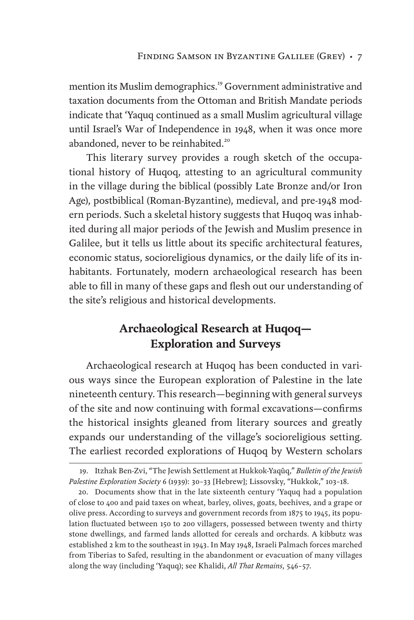mention its Muslim demographics.<sup>19</sup> Government administrative and taxation documents from the Ottoman and British Mandate periods indicate that 'Yaquq continued as a small Muslim agricultural village until Israel's War of Independence in 1948, when it was once more abandoned, never to be reinhabited.<sup>20</sup>

This literary survey provides a rough sketch of the occupational history of Huqoq, attesting to an agricultural community in the village during the biblical (possibly Late Bronze and/or Iron Age), postbiblical (Roman-Byzantine), medieval, and pre-1948 modern periods. Such a skeletal history suggests that Huqoq was inhabited during all major periods of the Jewish and Muslim presence in Galilee, but it tells us little about its specific architectural features, economic status, socioreligious dynamics, or the daily life of its inhabitants. Fortunately, modern archaeological research has been able to fill in many of these gaps and flesh out our understanding of the site's religious and historical developments.

## **Archaeological Research at Huqoq— Exploration and Surveys**

Archaeological research at Huqoq has been conducted in various ways since the European exploration of Palestine in the late nineteenth century. This research—beginning with general surveys of the site and now continuing with formal excavations—confirms the historical insights gleaned from literary sources and greatly expands our understanding of the village's socioreligious setting. The earliest recorded explorations of Huqoq by Western scholars

<sup>19.</sup> Itzhak Ben-Zvi, "The Jewish Settlement at Hukkok-Yaqûq," *Bulletin of the Jewish Palestine Exploration Society* 6 (1939): 30–33 [Hebrew]; Lissovsky, "Hukkok," 103–18.

<sup>20.</sup> Documents show that in the late sixteenth century 'Yaquq had a population of close to 400 and paid taxes on wheat, barley, olives, goats, beehives, and a grape or olive press. According to surveys and government records from 1875 to 1945, its population fluctuated between 150 to 200 villagers, possessed between twenty and thirty stone dwellings, and farmed lands allotted for cereals and orchards. A kibbutz was established 2 km to the southeast in 1943. In May 1948, Israeli Palmach forces marched from Tiberias to Safed, resulting in the abandonment or evacuation of many villages along the way (including 'Yaquq); see Khalidi, *All That Remains*, 546–57.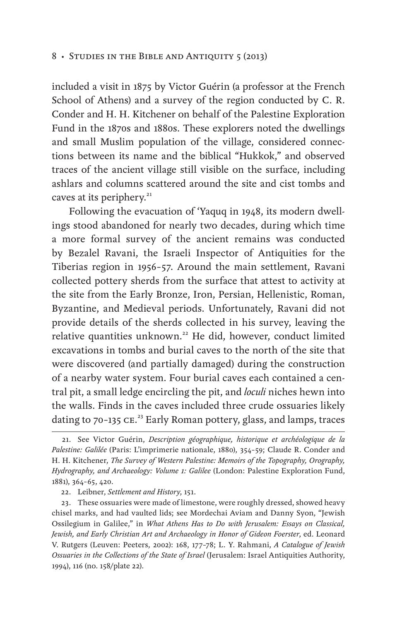included a visit in 1875 by Victor Guérin (a professor at the French School of Athens) and a survey of the region conducted by C. R. Conder and H. H. Kitchener on behalf of the Palestine Exploration Fund in the 1870s and 1880s. These explorers noted the dwellings and small Muslim population of the village, considered connections between its name and the biblical "Hukkok," and observed traces of the ancient village still visible on the surface, including ashlars and columns scattered around the site and cist tombs and caves at its periphery.<sup>21</sup>

Following the evacuation of 'Yaquq in 1948, its modern dwellings stood abandoned for nearly two decades, during which time a more formal survey of the ancient remains was conducted by Bezalel Ravani, the Israeli Inspector of Antiquities for the Tiberias region in 1956–57. Around the main settlement, Ravani collected pottery sherds from the surface that attest to activity at the site from the Early Bronze, Iron, Persian, Hellenistic, Roman, Byzantine, and Medieval periods. Unfortunately, Ravani did not provide details of the sherds collected in his survey, leaving the relative quantities unknown.<sup>22</sup> He did, however, conduct limited excavations in tombs and burial caves to the north of the site that were discovered (and partially damaged) during the construction of a nearby water system. Four burial caves each contained a central pit, a small ledge encircling the pit, and *loculi* niches hewn into the walls. Finds in the caves included three crude ossuaries likely dating to 70-135 CE.<sup>23</sup> Early Roman pottery, glass, and lamps, traces

<sup>21.</sup> See Victor Guérin, *Description géographique, historique et archéologique de la Palestine: Galilée* (Paris: L'imprimerie nationale, 1880), 354–59; Claude R. Conder and H. H. Kitchener, *The Survey of Western Palestine: Memoirs of the Topography, Orography, Hydrography, and Archaeology: Volume 1: Galilee* (London: Palestine Exploration Fund, 1881), 364–65, 420.

<sup>22.</sup> Leibner, *Settlement and History*, 151.

<sup>23.</sup> These ossuaries were made of limestone, were roughly dressed, showed heavy chisel marks, and had vaulted lids; see Mordechai Aviam and Danny Syon, "Jewish Ossilegium in Galilee," in *What Athens Has to Do with Jerusalem: Essays on Classical, Jewish, and Early Christian Art and Archaeology in Honor of Gideon Foerster*, ed. Leonard V. Rutgers (Leuven: Peeters, 2002): 168, 177–78; L. Y. Rahmani, *A Catalogue of Jewish Ossuaries in the Collections of the State of Israel* (Jerusalem: Israel Antiquities Authority, 1994), 116 (no. 158/plate 22).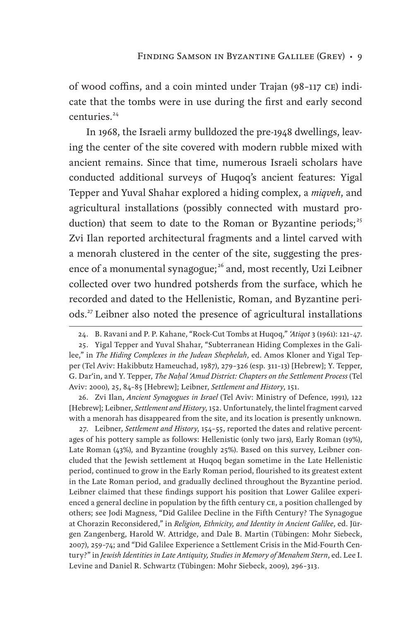of wood coffins, and a coin minted under Trajan (98–117 ce) indicate that the tombs were in use during the first and early second centuries.<sup>24</sup>

In 1968, the Israeli army bulldozed the pre-1948 dwellings, leaving the center of the site covered with modern rubble mixed with ancient remains. Since that time, numerous Israeli scholars have conducted additional surveys of Huqoq's ancient features: Yigal Tepper and Yuval Shahar explored a hiding complex, a *miqveh*, and agricultural installations (possibly connected with mustard production) that seem to date to the Roman or Byzantine periods;<sup>25</sup> Zvi Ilan reported architectural fragments and a lintel carved with a menorah clustered in the center of the site, suggesting the presence of a monumental synagogue;<sup>26</sup> and, most recently, Uzi Leibner collected over two hundred potsherds from the surface, which he recorded and dated to the Hellenistic, Roman, and Byzantine periods.<sup>27</sup> Leibner also noted the presence of agricultural installations

26. Zvi Ilan, *Ancient Synagogues in Israel* (Tel Aviv: Ministry of Defence, 1991), 122 [Hebrew]; Leibner, *Settlement and History*, 152. Unfortunately, the lintel fragment carved with a menorah has disappeared from the site, and its location is presently unknown.

27. Leibner, *Settlement and History*, 154–55, reported the dates and relative percentages of his pottery sample as follows: Hellenistic (only two jars), Early Roman (19%), Late Roman (43%), and Byzantine (roughly 25%). Based on this survey, Leibner concluded that the Jewish settlement at Huqoq began sometime in the Late Hellenistic period, continued to grow in the Early Roman period, flourished to its greatest extent in the Late Roman period, and gradually declined throughout the Byzantine period. Leibner claimed that these findings support his position that Lower Galilee experienced a general decline in population by the fifth century CE, a position challenged by others; see Jodi Magness, "Did Galilee Decline in the Fifth Century? The Synagogue at Chorazin Reconsidered," in *Religion, Ethnicity, and Identity in Ancient Galilee*, ed. Jürgen Zangenberg, Harold W. Attridge, and Dale B. Martin (Tübingen: Mohr Siebeck, 2007), 259–74; and "Did Galilee Experience a Settlement Crisis in the Mid-Fourth Century?" in *Jewish Identities in Late Antiquity, Studies in Memory of Menahem Stern*, ed. Lee I. Levine and Daniel R. Schwartz (Tübingen: Mohr Siebeck, 2009), 296–313.

<sup>24.</sup> B. Ravani and P. P. Kahane, "Rock-Cut Tombs at Huqoq," *'Atiqot* 3 (1961): 121–47.

<sup>25.</sup> Yigal Tepper and Yuval Shahar, "Subterranean Hiding Complexes in the Galilee," in *The Hiding Complexes in the Judean Shephelah*, ed. Amos Kloner and Yigal Tepper (Tel Aviv: Hakibbutz Hameuchad, 1987), 279–326 (esp. 311–13) [Hebrew]; Y. Tepper, G. Dar'in, and Y. Tepper, *The Naḥal 'Amud District: Chapters on the Settlement Process* (Tel Aviv: 2000), 25, 84–85 [Hebrew]; Leibner, *Settlement and History*, 151.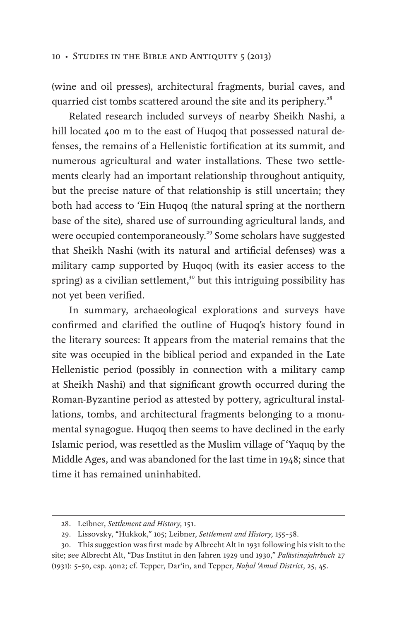#### 10 • STUDIES IN THE BIBLE AND ANTIQUITY 5 (2013)

(wine and oil presses), architectural fragments, burial caves, and quarried cist tombs scattered around the site and its periphery.<sup>28</sup>

Related research included surveys of nearby Sheikh Nashi, a hill located 400 m to the east of Huqoq that possessed natural defenses, the remains of a Hellenistic fortification at its summit, and numerous agricultural and water installations. These two settlements clearly had an important relationship throughout antiquity, but the precise nature of that relationship is still uncertain; they both had access to 'Ein Huqoq (the natural spring at the northern base of the site), shared use of surrounding agricultural lands, and were occupied contemporaneously.<sup>29</sup> Some scholars have suggested that Sheikh Nashi (with its natural and artificial defenses) was a military camp supported by Huqoq (with its easier access to the spring) as a civilian settlement,<sup>30</sup> but this intriguing possibility has not yet been verified.

In summary, archaeological explorations and surveys have confirmed and clarified the outline of Huqoq's history found in the literary sources: It appears from the material remains that the site was occupied in the biblical period and expanded in the Late Hellenistic period (possibly in connection with a military camp at Sheikh Nashi) and that significant growth occurred during the Roman-Byzantine period as attested by pottery, agricultural installations, tombs, and architectural fragments belonging to a monumental synagogue. Huqoq then seems to have declined in the early Islamic period, was resettled as the Muslim village of 'Yaquq by the Middle Ages, and was abandoned for the last time in 1948; since that time it has remained uninhabited.

<sup>28.</sup> Leibner, *Settlement and History*, 151.

<sup>29.</sup> Lissovsky, "Hukkok," 105; Leibner, *Settlement and History*, 155–58.

<sup>30.</sup> This suggestion was first made by Albrecht Alt in 1931 following his visit to the site; see Albrecht Alt, "Das Institut in den Jahren 1929 und 1930," *Palästinajahrbuch* 27 (1931): 5–50, esp. 40n2; cf. Tepper, Dar'in, and Tepper, *Naḥal 'Amud District*, 25, 45.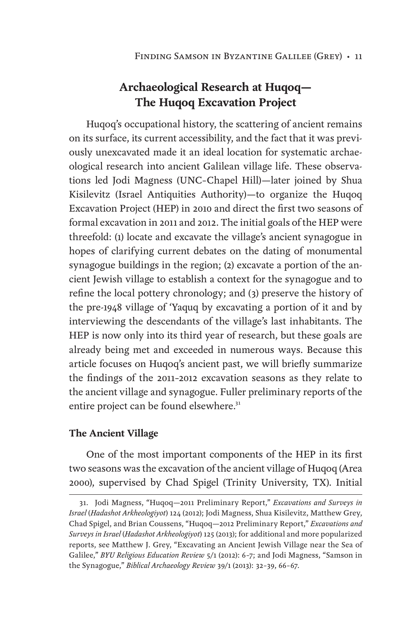## **Archaeological Research at Huqoq— The Huqoq Excavation Project**

Huqoq's occupational history, the scattering of ancient remains on its surface, its current accessibility, and the fact that it was previously unexcavated made it an ideal location for systematic archaeological research into ancient Galilean village life. These observations led Jodi Magness (UNC–Chapel Hill)—later joined by Shua Kisilevitz (Israel Antiquities Authority)—to organize the Huqoq Excavation Project (HEP) in 2010 and direct the first two seasons of formal excavation in 2011 and 2012. The initial goals of the HEP were threefold: (1) locate and excavate the village's ancient synagogue in hopes of clarifying current debates on the dating of monumental synagogue buildings in the region; (2) excavate a portion of the ancient Jewish village to establish a context for the synagogue and to refine the local pottery chronology; and (3) preserve the history of the pre-1948 village of 'Yaquq by excavating a portion of it and by interviewing the descendants of the village's last inhabitants. The HEP is now only into its third year of research, but these goals are already being met and exceeded in numerous ways. Because this article focuses on Huqoq's ancient past, we will briefly summarize the findings of the 2011–2012 excavation seasons as they relate to the ancient village and synagogue. Fuller preliminary reports of the entire project can be found elsewhere.<sup>31</sup>

#### **The Ancient Village**

One of the most important components of the HEP in its first two seasons was the excavation of the ancient village of Huqoq (Area 2000), supervised by Chad Spigel (Trinity University, TX). Initial

<sup>31.</sup> Jodi Magness, "Huqoq—2011 Preliminary Report," *Excavations and Surveys in Israel* (*Hadashot Arkheologiyot*) 124 (2012); Jodi Magness, Shua Kisilevitz, Matthew Grey, Chad Spigel, and Brian Coussens, "Huqoq—2012 Preliminary Report," *Excavations and Surveys in Israel* (*Hadashot Arkheologiyot*) 125 (2013); for additional and more popularized reports, see Matthew J. Grey, "Excavating an Ancient Jewish Village near the Sea of Galilee," *BYU Religious Education Review* 5/1 (2012): 6–7; and Jodi Magness, "Samson in the Synagogue," *Biblical Archaeology Review* 39/1 (2013): 32–39, 66–67.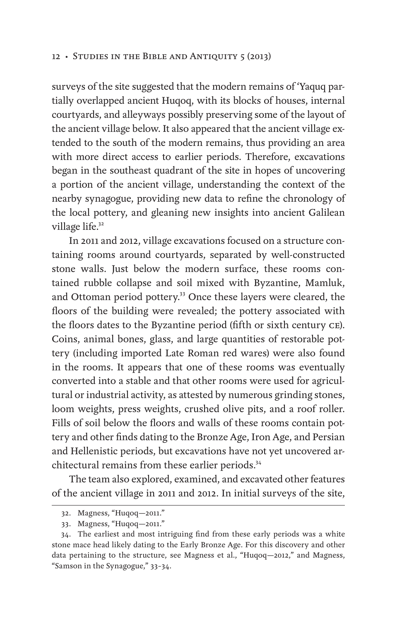surveys of the site suggested that the modern remains of 'Yaquq partially overlapped ancient Huqoq, with its blocks of houses, internal courtyards, and alleyways possibly preserving some of the layout of the ancient village below. It also appeared that the ancient village extended to the south of the modern remains, thus providing an area with more direct access to earlier periods. Therefore, excavations began in the southeast quadrant of the site in hopes of uncovering a portion of the ancient village, understanding the context of the nearby synagogue, providing new data to refine the chronology of the local pottery, and gleaning new insights into ancient Galilean village life.<sup>32</sup>

In 2011 and 2012, village excavations focused on a structure containing rooms around courtyards, separated by well-constructed stone walls. Just below the modern surface, these rooms contained rubble collapse and soil mixed with Byzantine, Mamluk, and Ottoman period pottery.<sup>33</sup> Once these layers were cleared, the floors of the building were revealed; the pottery associated with the floors dates to the Byzantine period (fifth or sixth century ce). Coins, animal bones, glass, and large quantities of restorable pottery (including imported Late Roman red wares) were also found in the rooms. It appears that one of these rooms was eventually converted into a stable and that other rooms were used for agricultural or industrial activity, as attested by numerous grinding stones, loom weights, press weights, crushed olive pits, and a roof roller. Fills of soil below the floors and walls of these rooms contain pottery and other finds dating to the Bronze Age, Iron Age, and Persian and Hellenistic periods, but excavations have not yet uncovered architectural remains from these earlier periods.<sup>34</sup>

The team also explored, examined, and excavated other features of the ancient village in 2011 and 2012. In initial surveys of the site,

<sup>32.</sup> Magness, "Huqoq—2011."

<sup>33.</sup> Magness, "Huqoq—2011."

<sup>34.</sup> The earliest and most intriguing find from these early periods was a white stone mace head likely dating to the Early Bronze Age. For this discovery and other data pertaining to the structure, see Magness et al., "Huqoq—2012," and Magness, "Samson in the Synagogue," 33–34.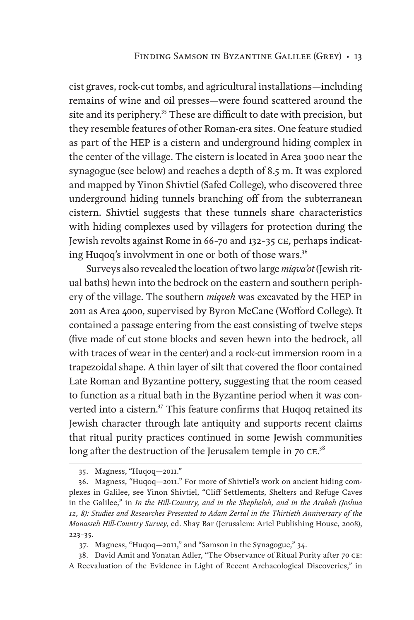cist graves, rock-cut tombs, and agricultural installations—including remains of wine and oil presses—were found scattered around the site and its periphery.<sup>35</sup> These are difficult to date with precision, but they resemble features of other Roman-era sites. One feature studied as part of the HEP is a cistern and underground hiding complex in the center of the village. The cistern is located in Area 3000 near the synagogue (see below) and reaches a depth of 8.5 m. It was explored and mapped by Yinon Shivtiel (Safed College), who discovered three underground hiding tunnels branching off from the subterranean cistern. Shivtiel suggests that these tunnels share characteristics with hiding complexes used by villagers for protection during the Jewish revolts against Rome in 66–70 and 132–35 ce, perhaps indicating Huqoq's involvment in one or both of those wars.<sup>36</sup>

Surveys also revealed the location of two large *miqva'ot* (Jewish ritual baths) hewn into the bedrock on the eastern and southern periphery of the village. The southern *miqveh* was excavated by the HEP in 2011 as Area 4000, supervised by Byron McCane (Wofford College). It contained a passage entering from the east consisting of twelve steps (five made of cut stone blocks and seven hewn into the bedrock, all with traces of wear in the center) and a rock-cut immersion room in a trapezoidal shape. A thin layer of silt that covered the floor contained Late Roman and Byzantine pottery, suggesting that the room ceased to function as a ritual bath in the Byzantine period when it was converted into a cistern.<sup>37</sup> This feature confirms that Huqoq retained its Jewish character through late antiquity and supports recent claims that ritual purity practices continued in some Jewish communities long after the destruction of the Jerusalem temple in 70  $\rm{c}\,\rm{e}^{38}$ 

<sup>35.</sup> Magness, "Huqoq—2011."

<sup>36.</sup> Magness, "Huqoq—2011." For more of Shivtiel's work on ancient hiding complexes in Galilee, see Yinon Shivtiel, "Cliff Settlements, Shelters and Refuge Caves in the Galilee," in *In the Hill-Country, and in the Shephelah, and in the Arabah (Joshua 12, 8): Studies and Researches Presented to Adam Zertal in the Thirtieth Anniversary of the Manasseh Hill-Country Survey*, ed. Shay Bar (Jerusalem: Ariel Publishing House, 2008), 223–35.

<sup>37.</sup> Magness, "Huqoq—2011," and "Samson in the Synagogue," 34.

<sup>38.</sup> David Amit and Yonatan Adler, "The Observance of Ritual Purity after 70 ce: A Reevaluation of the Evidence in Light of Recent Archaeological Discoveries," in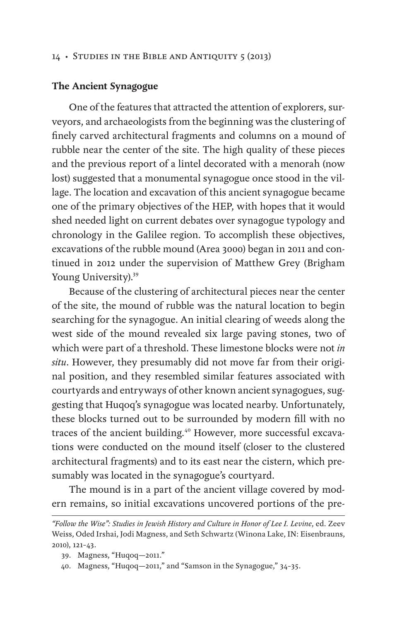#### 14 • STUDIES IN THE BIBLE AND ANTIQUITY 5 (2013)

#### **The Ancient Synagogue**

One of the features that attracted the attention of explorers, surveyors, and archaeologists from the beginning was the clustering of finely carved architectural fragments and columns on a mound of rubble near the center of the site. The high quality of these pieces and the previous report of a lintel decorated with a menorah (now lost) suggested that a monumental synagogue once stood in the village. The location and excavation of this ancient synagogue became one of the primary objectives of the HEP, with hopes that it would shed needed light on current debates over synagogue typology and chronology in the Galilee region. To accomplish these objectives, excavations of the rubble mound (Area 3000) began in 2011 and continued in 2012 under the supervision of Matthew Grey (Brigham Young University).<sup>39</sup>

Because of the clustering of architectural pieces near the center of the site, the mound of rubble was the natural location to begin searching for the synagogue. An initial clearing of weeds along the west side of the mound revealed six large paving stones, two of which were part of a threshold. These limestone blocks were not *in situ*. However, they presumably did not move far from their original position, and they resembled similar features associated with courtyards and entryways of other known ancient synagogues, suggesting that Huqoq's synagogue was located nearby. Unfortunately, these blocks turned out to be surrounded by modern fill with no traces of the ancient building.<sup>40</sup> However, more successful excavations were conducted on the mound itself (closer to the clustered architectural fragments) and to its east near the cistern, which presumably was located in the synagogue's courtyard.

The mound is in a part of the ancient village covered by modern remains, so initial excavations uncovered portions of the pre-

*<sup>&</sup>quot;Follow the Wise": Studies in Jewish History and Culture in Honor of Lee I. Levine*, ed. Zeev Weiss, Oded Irshai, Jodi Magness, and Seth Schwartz (Winona Lake, IN: Eisenbrauns, 2010), 121–43.

<sup>39.</sup> Magness, "Huqoq—2011."

<sup>40.</sup> Magness, "Huqoq—2011," and "Samson in the Synagogue," 34–35.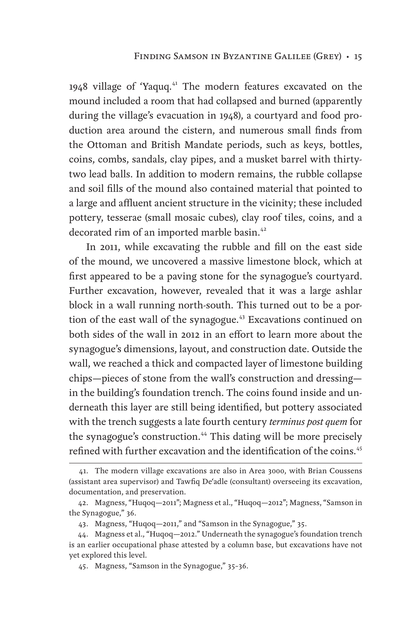1948 village of 'Yaquq.<sup>41</sup> The modern features excavated on the mound included a room that had collapsed and burned (apparently during the village's evacuation in 1948), a courtyard and food production area around the cistern, and numerous small finds from the Ottoman and British Mandate periods, such as keys, bottles, coins, combs, sandals, clay pipes, and a musket barrel with thirtytwo lead balls. In addition to modern remains, the rubble collapse and soil fills of the mound also contained material that pointed to a large and affluent ancient structure in the vicinity; these included pottery, tesserae (small mosaic cubes), clay roof tiles, coins, and a decorated rim of an imported marble basin.<sup>42</sup>

In 2011, while excavating the rubble and fill on the east side of the mound, we uncovered a massive limestone block, which at first appeared to be a paving stone for the synagogue's courtyard. Further excavation, however, revealed that it was a large ashlar block in a wall running north-south. This turned out to be a portion of the east wall of the synagogue. $43$  Excavations continued on both sides of the wall in 2012 in an effort to learn more about the synagogue's dimensions, layout, and construction date. Outside the wall, we reached a thick and compacted layer of limestone building chips—pieces of stone from the wall's construction and dressing in the building's foundation trench. The coins found inside and underneath this layer are still being identified, but pottery associated with the trench suggests a late fourth century *terminus post quem* for the synagogue's construction.<sup>44</sup> This dating will be more precisely refined with further excavation and the identification of the coins.<sup>45</sup>

<sup>41.</sup> The modern village excavations are also in Area 3000, with Brian Coussens (assistant area supervisor) and Tawfiq De'adle (consultant) overseeing its excavation, documentation, and preservation.

<sup>42.</sup> Magness, "Huqoq—2011"; Magness et al., "Huqoq—2012"; Magness, "Samson in the Synagogue," 36.

<sup>43.</sup> Magness, "Huqoq—2011," and "Samson in the Synagogue," 35.

<sup>44.</sup> Magness et al., "Huqoq—2012." Underneath the synagogue's foundation trench is an earlier occupational phase attested by a column base, but excavations have not yet explored this level.

<sup>45.</sup> Magness, "Samson in the Synagogue," 35–36.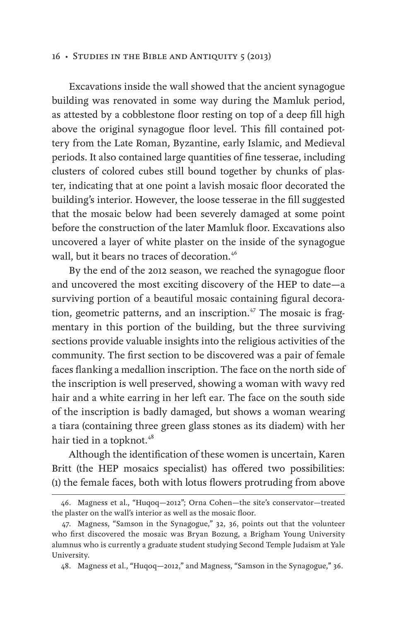Excavations inside the wall showed that the ancient synagogue building was renovated in some way during the Mamluk period, as attested by a cobblestone floor resting on top of a deep fill high above the original synagogue floor level. This fill contained pottery from the Late Roman, Byzantine, early Islamic, and Medieval periods. It also contained large quantities of fine tesserae, including clusters of colored cubes still bound together by chunks of plaster, indicating that at one point a lavish mosaic floor decorated the building's interior. However, the loose tesserae in the fill suggested that the mosaic below had been severely damaged at some point before the construction of the later Mamluk floor. Excavations also uncovered a layer of white plaster on the inside of the synagogue wall, but it bears no traces of decoration.<sup>46</sup>

By the end of the 2012 season, we reached the synagogue floor and uncovered the most exciting discovery of the HEP to date—a surviving portion of a beautiful mosaic containing figural decoration, geometric patterns, and an inscription. $47$  The mosaic is fragmentary in this portion of the building, but the three surviving sections provide valuable insights into the religious activities of the community. The first section to be discovered was a pair of female faces flanking a medallion inscription. The face on the north side of the inscription is well preserved, showing a woman with wavy red hair and a white earring in her left ear. The face on the south side of the inscription is badly damaged, but shows a woman wearing a tiara (containing three green glass stones as its diadem) with her hair tied in a topknot.<sup>48</sup>

Although the identification of these women is uncertain, Karen Britt (the HEP mosaics specialist) has offered two possibilities: (1) the female faces, both with lotus flowers protruding from above

<sup>46.</sup> Magness et al., "Huqoq—2012"; Orna Cohen—the site's conservator—treated the plaster on the wall's interior as well as the mosaic floor.

<sup>47.</sup> Magness, "Samson in the Synagogue," 32, 36, points out that the volunteer who first discovered the mosaic was Bryan Bozung, a Brigham Young University alumnus who is currently a graduate student studying Second Temple Judaism at Yale University.

<sup>48.</sup> Magness et al., "Huqoq—2012," and Magness, "Samson in the Synagogue," 36.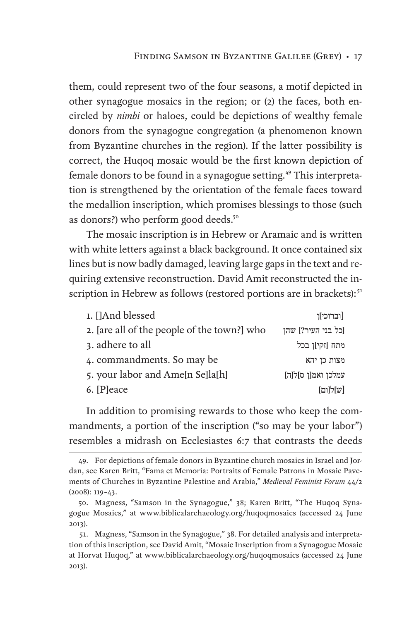them, could represent two of the four seasons, a motif depicted in other synagogue mosaics in the region; or (2) the faces, both encircled by *nimbi* or haloes, could be depictions of wealthy female donors from the synagogue congregation (a phenomenon known from Byzantine churches in the region). If the latter possibility is correct, the Huqoq mosaic would be the first known depiction of female donors to be found in a synagogue setting.<sup>49</sup> This interpretation is strengthened by the orientation of the female faces toward the medallion inscription, which promises blessings to those (such as donors?) who perform good deeds.<sup>50</sup>

The mosaic inscription is in Hebrew or Aramaic and is written with white letters against a black background. It once contained six lines but is now badly damaged, leaving large gaps in the text and requiring extensive reconstruction. David Amit reconstructed the inscription in Hebrew as follows (restored portions are in brackets):<sup>51</sup>

| 1. []And blessed                            | [וברוכי]ן          |
|---------------------------------------------|--------------------|
| 2. [are all of the people of the town?] who | [כל בני העיר?] שהן |
| 3. adhere to all                            | מתח [זקי]ן בכל     |
| 4. commandments. So may be                  | מצות כן יהא        |
| 5. your labor and Ame[n Se]la[h]            | עמלכן ואמ[ן ס]ל[ה] |
| 6. [P]eace                                  | [ש]ל[ום]           |

In addition to promising rewards to those who keep the commandments, a portion of the inscription ("so may be your labor") resembles a midrash on Ecclesiastes 6:7 that contrasts the deeds

<sup>49.</sup> For depictions of female donors in Byzantine church mosaics in Israel and Jordan, see Karen Britt, "Fama et Memoria: Portraits of Female Patrons in Mosaic Pavements of Churches in Byzantine Palestine and Arabia," *Medieval Feminist Forum* 44/2 (2008): 119–43.

<sup>50.</sup> Magness, "Samson in the Synagogue," 38; Karen Britt, "The Huqoq Synagogue Mosaics," at www.biblicalarchaeology.org/huqoqmosaics (accessed 24 June 2013).

<sup>51.</sup> Magness, "Samson in the Synagogue," 38. For detailed analysis and interpretation of this inscription, see David Amit, "Mosaic Inscription from a Synagogue Mosaic at Horvat Huqoq," at www.biblicalarchaeology.org/huqoqmosaics (accessed 24 June 2013).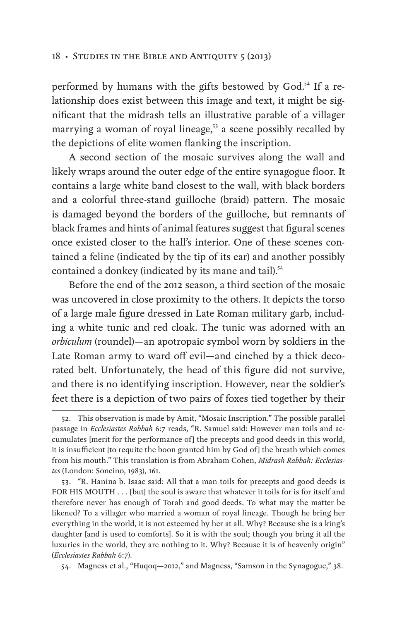#### 18 • STUDIES IN THE BIBLE AND ANTIQUITY 5 (2013)

performed by humans with the gifts bestowed by God.<sup>52</sup> If a relationship does exist between this image and text, it might be significant that the midrash tells an illustrative parable of a villager marrying a woman of royal lineage,<sup>53</sup> a scene possibly recalled by the depictions of elite women flanking the inscription.

A second section of the mosaic survives along the wall and likely wraps around the outer edge of the entire synagogue floor. It contains a large white band closest to the wall, with black borders and a colorful three-stand guilloche (braid) pattern. The mosaic is damaged beyond the borders of the guilloche, but remnants of black frames and hints of animal features suggest that figural scenes once existed closer to the hall's interior. One of these scenes contained a feline (indicated by the tip of its ear) and another possibly contained a donkey (indicated by its mane and tail).<sup>54</sup>

Before the end of the 2012 season, a third section of the mosaic was uncovered in close proximity to the others. It depicts the torso of a large male figure dressed in Late Roman military garb, including a white tunic and red cloak. The tunic was adorned with an *orbiculum* (roundel)—an apotropaic symbol worn by soldiers in the Late Roman army to ward off evil—and cinched by a thick decorated belt. Unfortunately, the head of this figure did not survive, and there is no identifying inscription. However, near the soldier's feet there is a depiction of two pairs of foxes tied together by their

53. "R. Hanina b. Isaac said: All that a man toils for precepts and good deeds is FOR HIS MOUTH . . . [but] the soul is aware that whatever it toils for is for itself and therefore never has enough of Torah and good deeds. To what may the matter be likened? To a villager who married a woman of royal lineage. Though he bring her everything in the world, it is not esteemed by her at all. Why? Because she is a king's daughter [and is used to comforts]. So it is with the soul; though you bring it all the luxuries in the world, they are nothing to it. Why? Because it is of heavenly origin" (*Ecclesiastes Rabbah* 6:7).

54. Magness et al., "Huqoq—2012," and Magness, "Samson in the Synagogue," 38.

<sup>52.</sup> This observation is made by Amit, "Mosaic Inscription." The possible parallel passage in *Ecclesiastes Rabbah* 6:7 reads, "R. Samuel said: However man toils and accumulates [merit for the performance of] the precepts and good deeds in this world, it is insufficient [to requite the boon granted him by God of] the breath which comes from his mouth." This translation is from Abraham Cohen, *Midrash Rabbah: Ecclesiastes* (London: Soncino, 1983), 161.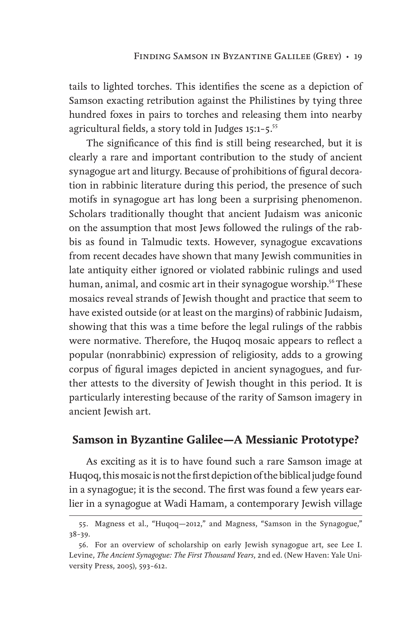tails to lighted torches. This identifies the scene as a depiction of Samson exacting retribution against the Philistines by tying three hundred foxes in pairs to torches and releasing them into nearby agricultural fields, a story told in Judges 15:1-5.<sup>55</sup>

The significance of this find is still being researched, but it is clearly a rare and important contribution to the study of ancient synagogue art and liturgy. Because of prohibitions of figural decoration in rabbinic literature during this period, the presence of such motifs in synagogue art has long been a surprising phenomenon. Scholars traditionally thought that ancient Judaism was aniconic on the assumption that most Jews followed the rulings of the rabbis as found in Talmudic texts. However, synagogue excavations from recent decades have shown that many Jewish communities in late antiquity either ignored or violated rabbinic rulings and used human, animal, and cosmic art in their synagogue worship.<sup>56</sup> These mosaics reveal strands of Jewish thought and practice that seem to have existed outside (or at least on the margins) of rabbinic Judaism, showing that this was a time before the legal rulings of the rabbis were normative. Therefore, the Huqoq mosaic appears to reflect a popular (nonrabbinic) expression of religiosity, adds to a growing corpus of figural images depicted in ancient synagogues, and further attests to the diversity of Jewish thought in this period. It is particularly interesting because of the rarity of Samson imagery in ancient Jewish art.

## **Samson in Byzantine Galilee—A Messianic Prototype?**

As exciting as it is to have found such a rare Samson image at Huqoq, this mosaic is not the first depiction of the biblical judge found in a synagogue; it is the second. The first was found a few years earlier in a synagogue at Wadi Hamam, a contemporary Jewish village

<sup>55.</sup> Magness et al., "Huqoq—2012," and Magness, "Samson in the Synagogue," 38–39.

<sup>56.</sup> For an overview of scholarship on early Jewish synagogue art, see Lee I. Levine, *The Ancient Synagogue: The First Thousand Years*, 2nd ed. (New Haven: Yale University Press, 2005), 593–612.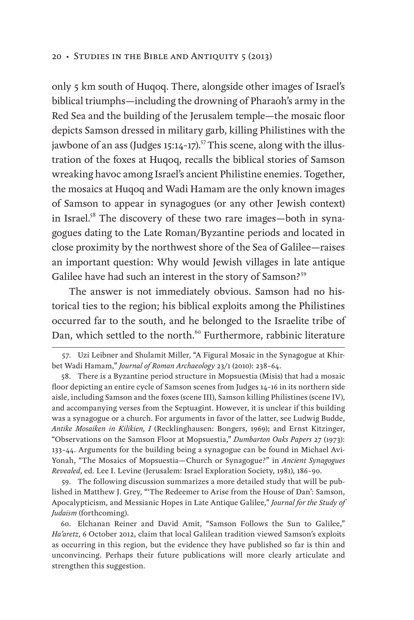only 5 km south of Huqoq. There, alongside other images of Israel's biblical triumphs—including the drowning of Pharaoh's army in the Red Sea and the building of the Jerusalem temple—the mosaic floor depicts Samson dressed in military garb, killing Philistines with the jawbone of an ass (Judges 15:14-17).<sup>57</sup> This scene, along with the illustration of the foxes at Huqoq, recalls the biblical stories of Samson wreaking havoc among Israel's ancient Philistine enemies. Together, the mosaics at Huqoq and Wadi Hamam are the only known images of Samson to appear in synagogues (or any other Jewish context) in Israel.<sup>58</sup> The discovery of these two rare images—both in synagogues dating to the Late Roman/Byzantine periods and located in close proximity by the northwest shore of the Sea of Galilee—raises an important question: Why would Jewish villages in late antique Galilee have had such an interest in the story of Samson?<sup>59</sup>

The answer is not immediately obvious. Samson had no historical ties to the region; his biblical exploits among the Philistines occurred far to the south, and he belonged to the Israelite tribe of Dan, which settled to the north.<sup>60</sup> Furthermore, rabbinic literature

<sup>57.</sup> Uzi Leibner and Shulamit Miller, "A Figural Mosaic in the Synagogue at Khirbet Wadi Hamam," *Journal of Roman Archaeology* 23/1 (2010): 238–64.

<sup>58.</sup> There is a Byzantine period structure in Mopsuestia (Misis) that had a mosaic floor depicting an entire cycle of Samson scenes from Judges 14–16 in its northern side aisle, including Samson and the foxes (scene III), Samson killing Philistines (scene IV), and accompanying verses from the Septuagint. However, it is unclear if this building was a synagogue or a church. For arguments in favor of the latter, see Ludwig Budde, *Antike Mosaiken in Kilikien, I* (Recklinghausen: Bongers, 1969); and Ernst Kitzinger, "Observations on the Samson Floor at Mopsuestia," *Dumbarton Oaks Papers* 27 (1973): 133–44. Arguments for the building being a synagogue can be found in Michael Avi-Yonah, "The Mosaics of Mopsuestia—Church or Synagogue?" in *Ancient Synagogues Revealed*, ed. Lee I. Levine (Jerusalem: Israel Exploration Society, 1981), 186–90.

<sup>59.</sup> The following discussion summarizes a more detailed study that will be published in Matthew J. Grey, "'The Redeemer to Arise from the House of Dan': Samson, Apocalypticism, and Messianic Hopes in Late Antique Galilee," *Journal for the Study of Judaism* (forthcoming).

<sup>60.</sup> Elchanan Reiner and David Amit, "Samson Follows the Sun to Galilee," *Ha'aretz*, 6 October 2012, claim that local Galilean tradition viewed Samson's exploits as occurring in this region, but the evidence they have published so far is thin and unconvincing. Perhaps their future publications will more clearly articulate and strengthen this suggestion.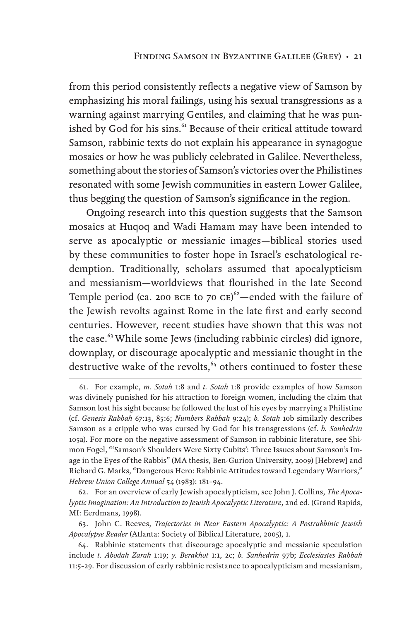from this period consistently reflects a negative view of Samson by emphasizing his moral failings, using his sexual transgressions as a warning against marrying Gentiles, and claiming that he was punished by God for his sins.<sup>61</sup> Because of their critical attitude toward Samson, rabbinic texts do not explain his appearance in synagogue mosaics or how he was publicly celebrated in Galilee. Nevertheless, something about the stories of Samson's victories over the Philistines resonated with some Jewish communities in eastern Lower Galilee, thus begging the question of Samson's significance in the region.

Ongoing research into this question suggests that the Samson mosaics at Huqoq and Wadi Hamam may have been intended to serve as apocalyptic or messianic images—biblical stories used by these communities to foster hope in Israel's eschatological redemption. Traditionally, scholars assumed that apocalypticism and messianism—worldviews that flourished in the late Second Temple period (ca. 200 BCE to 70  $CE$ )<sup>62</sup> – ended with the failure of the Jewish revolts against Rome in the late first and early second centuries. However, recent studies have shown that this was not the case.<sup>63</sup> While some Jews (including rabbinic circles) did ignore, downplay, or discourage apocalyptic and messianic thought in the destructive wake of the revolts,<sup>64</sup> others continued to foster these

62. For an overview of early Jewish apocalypticism, see John J. Collins, *The Apocalyptic Imagination: An Introduction to Jewish Apocalyptic Literature*, 2nd ed. (Grand Rapids, MI: Eerdmans, 1998).

63. John C. Reeves, *Trajectories in Near Eastern Apocalyptic: A Postrabbinic Jewish Apocalypse Reader* (Atlanta: Society of Biblical Literature, 2005), 1.

<sup>61.</sup> For example, *m. Sotah* 1:8 and *t. Sotah* 1:8 provide examples of how Samson was divinely punished for his attraction to foreign women, including the claim that Samson lost his sight because he followed the lust of his eyes by marrying a Philistine (cf. *Genesis Rabbah* 67:13, 85:6; *Numbers Rabbah* 9:24); *b. Sotah* 10b similarly describes Samson as a cripple who was cursed by God for his transgressions (cf. *b. Sanhedrin* 105a). For more on the negative assessment of Samson in rabbinic literature, see Shimon Fogel, "'Samson's Shoulders Were Sixty Cubits': Three Issues about Samson's Image in the Eyes of the Rabbis" (MA thesis, Ben-Gurion University, 2009) [Hebrew] and Richard G. Marks, "Dangerous Hero: Rabbinic Attitudes toward Legendary Warriors," *Hebrew Union College Annual* 54 (1983): 181–94.

<sup>64.</sup> Rabbinic statements that discourage apocalyptic and messianic speculation include *t. Abodah Zarah* 1:19; *y. Berakhot* 1:1, 2c; *b. Sanhedrin* 97b; *Ecclesiastes Rabbah* 11:5–29. For discussion of early rabbinic resistance to apocalypticism and messianism,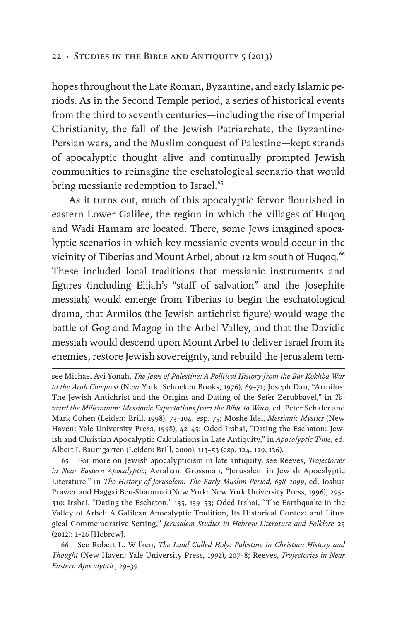hopes throughout the Late Roman, Byzantine, and early Islamic periods. As in the Second Temple period, a series of historical events from the third to seventh centuries—including the rise of Imperial Christianity, the fall of the Jewish Patriarchate, the Byzantine-Persian wars, and the Muslim conquest of Palestine—kept strands of apocalyptic thought alive and continually prompted Jewish communities to reimagine the eschatological scenario that would bring messianic redemption to Israel.<sup>65</sup>

As it turns out, much of this apocalyptic fervor flourished in eastern Lower Galilee, the region in which the villages of Huqoq and Wadi Hamam are located. There, some Jews imagined apocalyptic scenarios in which key messianic events would occur in the vicinity of Tiberias and Mount Arbel, about 12 km south of Huqoq.<sup>66</sup> These included local traditions that messianic instruments and figures (including Elijah's "staff of salvation" and the Josephite messiah) would emerge from Tiberias to begin the eschatological drama, that Armilos (the Jewish antichrist figure) would wage the battle of Gog and Magog in the Arbel Valley, and that the Davidic messiah would descend upon Mount Arbel to deliver Israel from its enemies, restore Jewish sovereignty, and rebuild the Jerusalem tem-

65. For more on Jewish apocalypticism in late antiquity, see Reeves, *Trajectories in Near Eastern Apocalyptic*; Avraham Grossman, "Jerusalem in Jewish Apocalyptic Literature," in *The History of Jerusalem: The Early Muslim Period, 638–1099*, ed. Joshua Prawer and Haggai Ben-Shammai (New York: New York University Press, 1996), 295– 310; Irshai, "Dating the Eschaton," 135, 139–53; Oded Irshai, "The Earthquake in the Valley of Arbel: A Galilean Apocalyptic Tradition, Its Historical Context and Liturgical Commemorative Setting," *Jerusalem Studies in Hebrew Literature and Folklore* 25 (2012): 1–26 [Hebrew].

66. See Robert L. Wilken, *The Land Called Holy: Palestine in Christian History and Thought* (New Haven: Yale University Press, 1992), 207–8; Reeves, *Trajectories in Near Eastern Apocalyptic*, 29–39.

see Michael Avi-Yonah, *The Jews of Palestine: A Political History from the Bar Kokhba War to the Arab Conquest* (New York: Schocken Books, 1976), 69–71; Joseph Dan, "Armilus: The Jewish Antichrist and the Origins and Dating of the Sefer Zerubbavel," in *Toward the Millennium: Messianic Expectations from the Bible to Waco*, ed. Peter Schafer and Mark Cohen (Leiden: Brill, 1998), 73–104, esp. 75; Moshe Idel, *Messianic Mystics* (New Haven: Yale University Press, 1998), 42–45; Oded Irshai, "Dating the Eschaton: Jewish and Christian Apocalyptic Calculations in Late Antiquity," in *Apocalyptic Time*, ed. Albert I. Baumgarten (Leiden: Brill, 2000), 113–53 (esp. 124, 129, 136).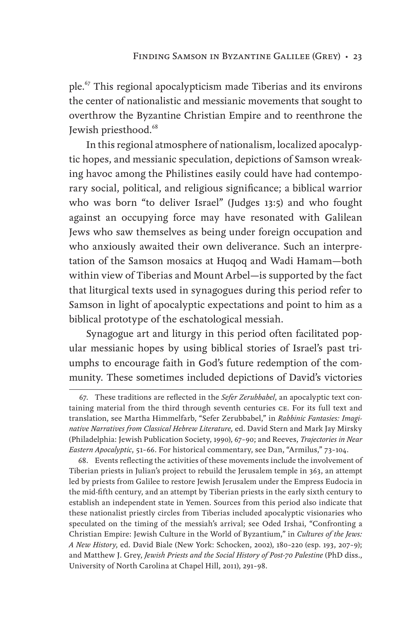ple.<sup>67</sup> This regional apocalypticism made Tiberias and its environs the center of nationalistic and messianic movements that sought to overthrow the Byzantine Christian Empire and to reenthrone the Jewish priesthood.<sup>68</sup>

In this regional atmosphere of nationalism, localized apocalyptic hopes, and messianic speculation, depictions of Samson wreaking havoc among the Philistines easily could have had contemporary social, political, and religious significance; a biblical warrior who was born "to deliver Israel" (Judges 13:5) and who fought against an occupying force may have resonated with Galilean Jews who saw themselves as being under foreign occupation and who anxiously awaited their own deliverance. Such an interpretation of the Samson mosaics at Huqoq and Wadi Hamam—both within view of Tiberias and Mount Arbel—is supported by the fact that liturgical texts used in synagogues during this period refer to Samson in light of apocalyptic expectations and point to him as a biblical prototype of the eschatological messiah.

Synagogue art and liturgy in this period often facilitated popular messianic hopes by using biblical stories of Israel's past triumphs to encourage faith in God's future redemption of the community. These sometimes included depictions of David's victories

<sup>67.</sup> These traditions are reflected in the *Sefer Zerubbabel*, an apocalyptic text containing material from the third through seventh centuries ce. For its full text and translation, see Martha Himmelfarb, "Sefer Zerubbabel," in *Rabbinic Fantasies: Imaginative Narratives from Classical Hebrew Literature,* ed. David Stern and Mark Jay Mirsky (Philadelphia: Jewish Publication Society, 1990), 67–90; and Reeves, *Trajectories in Near Eastern Apocalyptic*, 51–66. For historical commentary, see Dan, "Armilus," 73–104.

<sup>68.</sup> Events reflecting the activities of these movements include the involvement of Tiberian priests in Julian's project to rebuild the Jerusalem temple in 363, an attempt led by priests from Galilee to restore Jewish Jerusalem under the Empress Eudocia in the mid-fifth century, and an attempt by Tiberian priests in the early sixth century to establish an independent state in Yemen. Sources from this period also indicate that these nationalist priestly circles from Tiberias included apocalyptic visionaries who speculated on the timing of the messiah's arrival; see Oded Irshai, "Confronting a Christian Empire: Jewish Culture in the World of Byzantium," in *Cultures of the Jews: A New History*, ed. David Biale (New York: Schocken, 2002), 180–220 (esp. 193, 207–9); and Matthew J. Grey, *Jewish Priests and the Social History of Post-70 Palestine* (PhD diss., University of North Carolina at Chapel Hill, 2011), 291–98.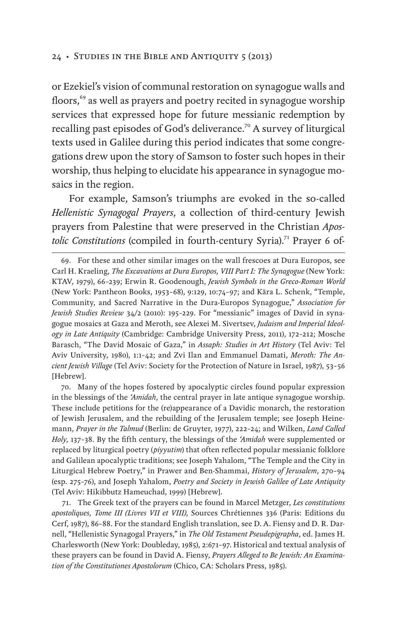or Ezekiel's vision of communal restoration on synagogue walls and floors,<sup>69</sup> as well as prayers and poetry recited in synagogue worship services that expressed hope for future messianic redemption by recalling past episodes of God's deliverance.<sup>70</sup> A survey of liturgical texts used in Galilee during this period indicates that some congregations drew upon the story of Samson to foster such hopes in their worship, thus helping to elucidate his appearance in synagogue mosaics in the region.

For example, Samson's triumphs are evoked in the so-called *Hellenistic Synagogal Prayers*, a collection of third-century Jewish prayers from Palestine that were preserved in the Christian *Apostolic Constitutions* (compiled in fourth-century Syria).<sup>71</sup> Prayer 6 of-

69. For these and other similar images on the wall frescoes at Dura Europos, see Carl H. Kraeling, *The Excavations at Dura Europos, VIII Part I: The Synagogue* (New York: KTAV, 1979), 66–239; Erwin R. Goodenough, *Jewish Symbols in the Greco-Roman World* (New York: Pantheon Books, 1953–68), 9:129, 10:74–97; and Kära L. Schenk, "Temple, Community, and Sacred Narrative in the Dura-Europos Synagogue," *Association for Jewish Studies Review* 34/2 (2010): 195–229. For "messianic" images of David in synagogue mosaics at Gaza and Meroth, see Alexei M. Sivertsev, *Judaism and Imperial Ideology in Late Antiquity* (Cambridge: Cambridge University Press, 2011), 172–212; Mosche Barasch, "The David Mosaic of Gaza," in *Assaph: Studies in Art History* (Tel Aviv: Tel Aviv University, 1980), 1:1–42; and Zvi Ilan and Emmanuel Damati, *Meroth: The Ancient Jewish Village* (Tel Aviv: Society for the Protection of Nature in Israel, 1987), 53–56 [Hebrew].

70. Many of the hopes fostered by apocalyptic circles found popular expression in the blessings of the *'Amidah*, the central prayer in late antique synagogue worship. These include petitions for the (re)appearance of a Davidic monarch, the restoration of Jewish Jerusalem, and the rebuilding of the Jerusalem temple; see Joseph Heinemann, *Prayer in the Talmud* (Berlin: de Gruyter, 1977), 222–24; and Wilken, *Land Called Holy*, 137–38. By the fifth century, the blessings of the *'Amidah* were supplemented or replaced by liturgical poetry (*piyyutim*) that often reflected popular messianic folklore and Galilean apocalyptic traditions; see Joseph Yahalom, "The Temple and the City in Liturgical Hebrew Poetry," in Prawer and Ben-Shammai, *History of Jerusalem*, 270–94 (esp. 275–76), and Joseph Yahalom, *Poetry and Society in Jewish Galilee of Late Antiquity* (Tel Aviv: Hikibbutz Hameuchad, 1999) [Hebrew].

71. The Greek text of the prayers can be found in Marcel Metzger, *Les constitutions apostoliques, Tome III (Livres VII et VIII)*, Sources Chrétiennes 336 (Paris: Editions du Cerf, 1987), 86–88. For the standard English translation, see D. A. Fiensy and D. R. Darnell, "Hellenistic Synagogal Prayers," in *The Old Testament Pseudepigrapha*, ed. James H. Charlesworth (New York: Doubleday, 1985), 2:671–97. Historical and textual analysis of these prayers can be found in David A. Fiensy, *Prayers Alleged to Be Jewish: An Examination of the Constitutiones Apostolorum* (Chico, CA: Scholars Press, 1985).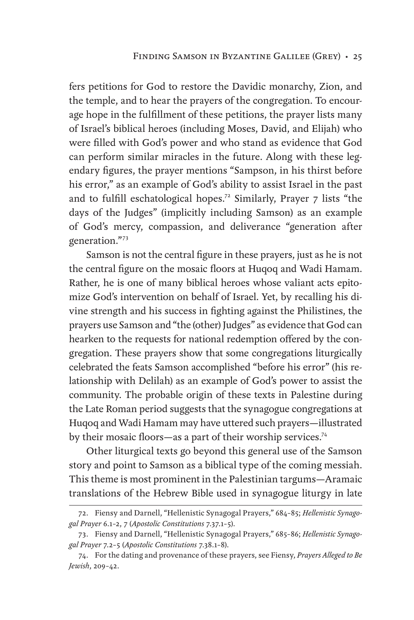fers petitions for God to restore the Davidic monarchy, Zion, and the temple, and to hear the prayers of the congregation. To encourage hope in the fulfillment of these petitions, the prayer lists many of Israel's biblical heroes (including Moses, David, and Elijah) who were filled with God's power and who stand as evidence that God can perform similar miracles in the future. Along with these legendary figures, the prayer mentions "Sampson, in his thirst before his error," as an example of God's ability to assist Israel in the past and to fulfill eschatological hopes.<sup>72</sup> Similarly, Prayer 7 lists "the days of the Judges" (implicitly including Samson) as an example of God's mercy, compassion, and deliverance "generation after generation."<sup>73</sup>

Samson is not the central figure in these prayers, just as he is not the central figure on the mosaic floors at Huqoq and Wadi Hamam. Rather, he is one of many biblical heroes whose valiant acts epitomize God's intervention on behalf of Israel. Yet, by recalling his divine strength and his success in fighting against the Philistines, the prayers use Samson and "the (other) Judges" as evidence that God can hearken to the requests for national redemption offered by the congregation. These prayers show that some congregations liturgically celebrated the feats Samson accomplished "before his error" (his relationship with Delilah) as an example of God's power to assist the community. The probable origin of these texts in Palestine during the Late Roman period suggests that the synagogue congregations at Huqoq and Wadi Hamam may have uttered such prayers—illustrated by their mosaic floors—as a part of their worship services.<sup>74</sup>

Other liturgical texts go beyond this general use of the Samson story and point to Samson as a biblical type of the coming messiah. This theme is most prominent in the Palestinian targums—Aramaic translations of the Hebrew Bible used in synagogue liturgy in late

<sup>72.</sup> Fiensy and Darnell, "Hellenistic Synagogal Prayers," 684–85; *Hellenistic Synagogal Prayer* 6.1–2, 7 (*Apostolic Constitutions* 7.37.1–5).

<sup>73.</sup> Fiensy and Darnell, "Hellenistic Synagogal Prayers," 685–86; *Hellenistic Synagogal Prayer* 7.2–5 (*Apostolic Constitutions* 7.38.1–8).

<sup>74.</sup> For the dating and provenance of these prayers, see Fiensy, *Prayers Alleged to Be Jewish*, 209–42.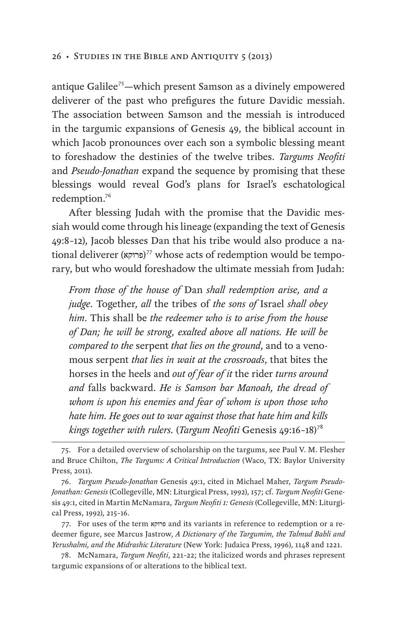antique Galilee<sup>75</sup>—which present Samson as a divinely empowered deliverer of the past who prefigures the future Davidic messiah. The association between Samson and the messiah is introduced in the targumic expansions of Genesis 49, the biblical account in which Jacob pronounces over each son a symbolic blessing meant to foreshadow the destinies of the twelve tribes. *Targums Neofiti*  and *Pseudo-Jonathan* expand the sequence by promising that these blessings would reveal God's plans for Israel's eschatological redemption.<sup>76</sup>

After blessing Judah with the promise that the Davidic messiah would come through his lineage (expanding the text of Genesis 49:8–12), Jacob blesses Dan that his tribe would also produce a national deliverer (פרוקא)<sup>77</sup> whose acts of redemption would be temporary, but who would foreshadow the ultimate messiah from Judah:

*From those of the house of* Dan *shall redemption arise, and a judge*. Together, *all* the tribes of *the sons of* Israel *shall obey him*. This shall be *the redeemer who is to arise from the house of Dan; he will be strong, exalted above all nations. He will be compared to the* serpent *that lies on the ground*, and to a venomous serpent *that lies in wait at the crossroads*, that bites the horses in the heels and *out of fear of it* the rider *turns around and* falls backward. *He is Samson bar Manoah, the dread of whom is upon his enemies and fear of whom is upon those who hate him. He goes out to war against those that hate him and kills kings together with rulers.* (*Targum Neofiti* Genesis 49:16–18)<sup>78</sup>

<sup>75.</sup> For a detailed overview of scholarship on the targums, see Paul V. M. Flesher and Bruce Chilton, *The Targums: A Critical Introduction* (Waco, TX: Baylor University Press, 2011).

<sup>76.</sup> *Targum Pseudo-Jonathan* Genesis 49:1, cited in Michael Maher, *Targum Pseudo-Jonathan: Genesis* (Collegeville, MN: Liturgical Press, 1992), 157; cf. *Targum Neofiti* Genesis 49:1, cited in Martin McNamara, *Targum Neofiti 1: Genesis* (Collegeville, MN: Liturgical Press, 1992), 215–16.

<sup>77.</sup> For uses of the term פרוקא and its variants in reference to redemption or a redeemer figure, see Marcus Jastrow, *A Dictionary of the Targumim, the Talmud Babli and Yerushalmi, and the Midrashic Literature* (New York: Judaica Press, 1996), 1148 and 1221.

<sup>78.</sup> McNamara, *Targum Neofiti*, 221–22; the italicized words and phrases represent targumic expansions of or alterations to the biblical text.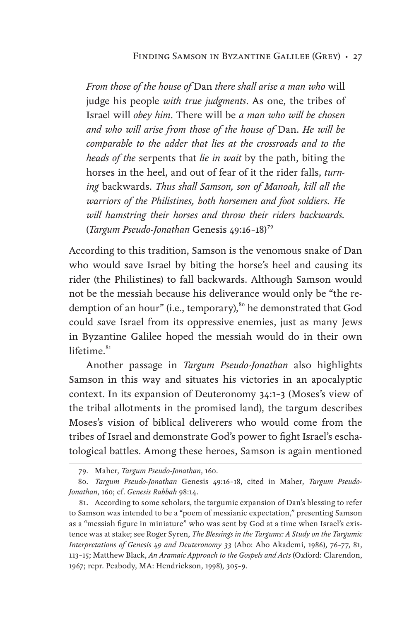*From those of the house of* Dan *there shall arise a man who* will judge his people *with true judgments*. As one, the tribes of Israel will *obey him*. There will be *a man who will be chosen and who will arise from those of the house of* Dan. *He will be comparable to the adder that lies at the crossroads and to the heads of the* serpents that *lie in wait* by the path, biting the horses in the heel, and out of fear of it the rider falls, *turning* backwards. *Thus shall Samson, son of Manoah, kill all the warriors of the Philistines, both horsemen and foot soldiers. He will hamstring their horses and throw their riders backwards.* (*Targum Pseudo-Jonathan* Genesis 49:16–18)<sup>79</sup>

According to this tradition, Samson is the venomous snake of Dan who would save Israel by biting the horse's heel and causing its rider (the Philistines) to fall backwards. Although Samson would not be the messiah because his deliverance would only be "the redemption of an hour" (i.e., temporary),<sup>80</sup> he demonstrated that God could save Israel from its oppressive enemies, just as many Jews in Byzantine Galilee hoped the messiah would do in their own lifetime. $81$ 

Another passage in *Targum Pseudo-Jonathan* also highlights Samson in this way and situates his victories in an apocalyptic context. In its expansion of Deuteronomy 34:1–3 (Moses's view of the tribal allotments in the promised land), the targum describes Moses's vision of biblical deliverers who would come from the tribes of Israel and demonstrate God's power to fight Israel's eschatological battles. Among these heroes, Samson is again mentioned

<sup>79.</sup> Maher, *Targum Pseudo-Jonathan*, 160.

<sup>80.</sup> *Targum Pseudo-Jonathan* Genesis 49:16–18, cited in Maher, *Targum Pseudo-Jonathan*, 160; cf. *Genesis Rabbah* 98:14.

<sup>81.</sup> According to some scholars, the targumic expansion of Dan's blessing to refer to Samson was intended to be a "poem of messianic expectation," presenting Samson as a "messiah figure in miniature" who was sent by God at a time when Israel's existence was at stake; see Roger Syren, *The Blessings in the Targums: A Study on the Targumic Interpretations of Genesis 49 and Deuteronomy 33* (Abo: Abo Akademi, 1986), 76–77, 81, 113–15; Matthew Black, *An Aramaic Approach to the Gospels and Acts* (Oxford: Clarendon, 1967; repr. Peabody, MA: Hendrickson, 1998), 305–9.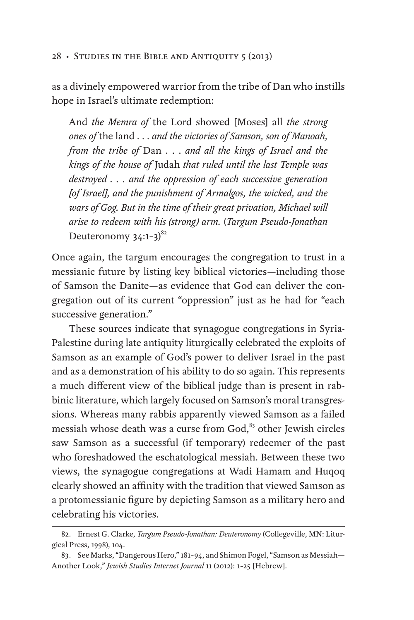as a divinely empowered warrior from the tribe of Dan who instills hope in Israel's ultimate redemption:

And *the Memra of* the Lord showed [Moses] all *the strong ones of* the land . . . *and the victories of Samson, son of Manoah, from the tribe of* Dan . . . *and all the kings of Israel and the kings of the house of* Judah *that ruled until the last Temple was destroyed . . . and the oppression of each successive generation [of Israel], and the punishment of Armalgos, the wicked, and the wars of Gog. But in the time of their great privation, Michael will arise to redeem with his (strong) arm.* (*Targum Pseudo-Jonathan* Deuteronomy  $34:1-3$ <sup>82</sup>

Once again, the targum encourages the congregation to trust in a messianic future by listing key biblical victories—including those of Samson the Danite—as evidence that God can deliver the congregation out of its current "oppression" just as he had for "each successive generation."

These sources indicate that synagogue congregations in Syria-Palestine during late antiquity liturgically celebrated the exploits of Samson as an example of God's power to deliver Israel in the past and as a demonstration of his ability to do so again. This represents a much different view of the biblical judge than is present in rabbinic literature, which largely focused on Samson's moral transgressions. Whereas many rabbis apparently viewed Samson as a failed messiah whose death was a curse from God,<sup>83</sup> other Jewish circles saw Samson as a successful (if temporary) redeemer of the past who foreshadowed the eschatological messiah. Between these two views, the synagogue congregations at Wadi Hamam and Huqoq clearly showed an affinity with the tradition that viewed Samson as a protomessianic figure by depicting Samson as a military hero and celebrating his victories.

<sup>82.</sup> Ernest G. Clarke, *Targum Pseudo-Jonathan: Deuteronomy* (Collegeville, MN: Liturgical Press, 1998), 104.

<sup>83.</sup> See Marks, "Dangerous Hero," 181–94, and Shimon Fogel, "Samson as Messiah— Another Look," *Jewish Studies Internet Journal* 11 (2012): 1–25 [Hebrew].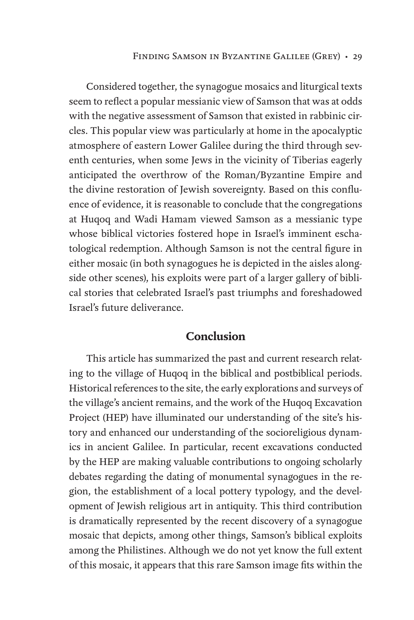Considered together, the synagogue mosaics and liturgical texts seem to reflect a popular messianic view of Samson that was at odds with the negative assessment of Samson that existed in rabbinic circles. This popular view was particularly at home in the apocalyptic atmosphere of eastern Lower Galilee during the third through seventh centuries, when some Jews in the vicinity of Tiberias eagerly anticipated the overthrow of the Roman/Byzantine Empire and the divine restoration of Jewish sovereignty. Based on this confluence of evidence, it is reasonable to conclude that the congregations at Huqoq and Wadi Hamam viewed Samson as a messianic type whose biblical victories fostered hope in Israel's imminent eschatological redemption. Although Samson is not the central figure in either mosaic (in both synagogues he is depicted in the aisles alongside other scenes), his exploits were part of a larger gallery of biblical stories that celebrated Israel's past triumphs and foreshadowed Israel's future deliverance.

### **Conclusion**

This article has summarized the past and current research relating to the village of Huqoq in the biblical and postbiblical periods. Historical references to the site, the early explorations and surveys of the village's ancient remains, and the work of the Huqoq Excavation Project (HEP) have illuminated our understanding of the site's history and enhanced our understanding of the socioreligious dynamics in ancient Galilee. In particular, recent excavations conducted by the HEP are making valuable contributions to ongoing scholarly debates regarding the dating of monumental synagogues in the region, the establishment of a local pottery typology, and the development of Jewish religious art in antiquity. This third contribution is dramatically represented by the recent discovery of a synagogue mosaic that depicts, among other things, Samson's biblical exploits among the Philistines. Although we do not yet know the full extent of this mosaic, it appears that this rare Samson image fits within the